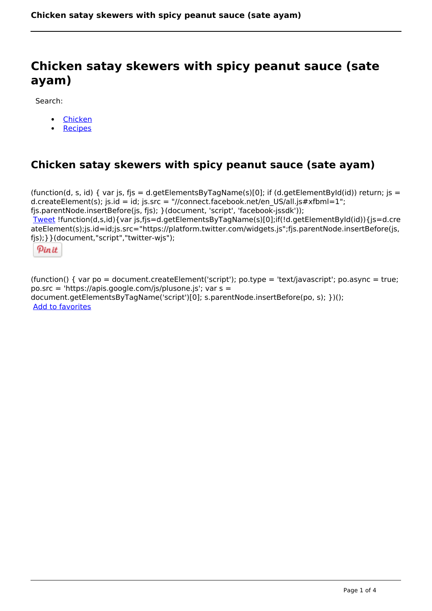# **Chicken satay skewers with spicy peanut sauce (sate ayam)**

Search:

- [Chicken](https://www.naturalhealthmag.com.au/nourish/chicken)
- **[Recipes](https://www.naturalhealthmag.com.au/nourish/recipes)**

# **Chicken satay skewers with spicy peanut sauce (sate ayam)**

(function(d, s, id) { var js, fjs = d.getElementsByTagName(s)[0]; if (d.getElementById(id)) return; js = d.createElement(s); js.id = id; js.src = "//connect.facebook.net/en\_US/all.js#xfbml=1"; fjs.parentNode.insertBefore(js, fjs); }(document, 'script', 'facebook-jssdk')); [Tweet](https://twitter.com/share) !function(d,s,id){var js,fjs=d.getElementsByTagName(s)[0];if(!d.getElementById(id)){js=d.cre ateElement(s);js.id=id;js.src="https://platform.twitter.com/widgets.js";fjs.parentNode.insertBefore(js, fjs);}}(document,"script","twitter-wjs");

Pinit

(function() { var po = document.createElement('script'); po.type = 'text/javascript'; po.async = true; po.src = 'https://apis.google.com/js/plusone.js'; var s = document.getElementsByTagName('script')[0]; s.parentNode.insertBefore(po, s); })(); Add to favorites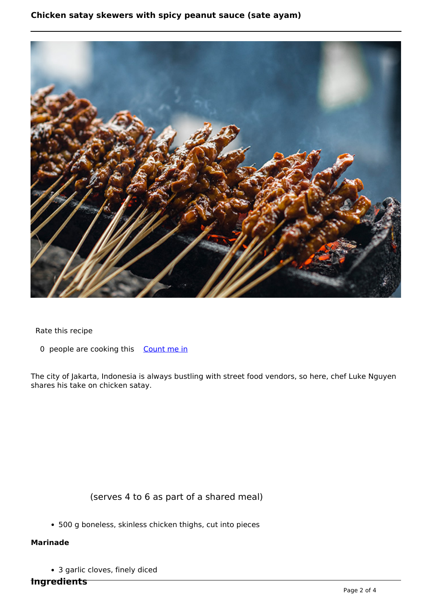### **Chicken satay skewers with spicy peanut sauce (sate ayam)**



Rate this recipe

0 people are cooking this [Count me in](https://www.naturalhealthmag.com.au/flag/flag/favorites/2145?destination=printpdf%2F2145&token=426c1c1ab8af752e646ae899dd1ff5ac)

The city of Jakarta, Indonesia is always bustling with street food vendors, so here, chef Luke Nguyen shares his take on chicken satay.

# (serves 4 to 6 as part of a shared meal)

500 g boneless, skinless chicken thighs, cut into pieces

#### **Marinade**

3 garlic cloves, finely diced

**Ingredients**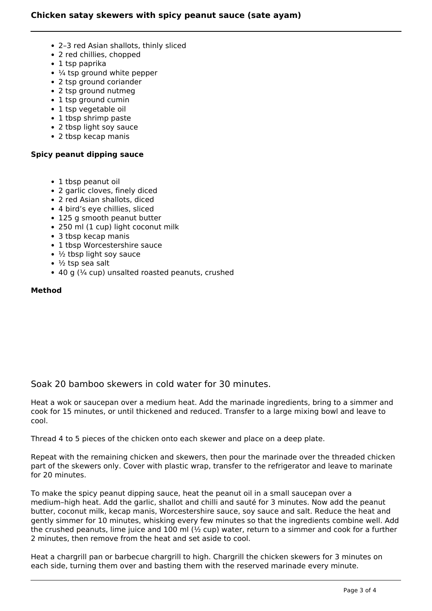- 2–3 red Asian shallots, thinly sliced
- 2 red chillies, chopped
- 1 tsp paprika
- $\cdot$   $\frac{1}{4}$  tsp ground white pepper
- 2 tsp ground coriander
- 2 tsp ground nutmeg
- 1 tsp ground cumin
- 1 tsp vegetable oil
- 1 tbsp shrimp paste
- 2 tbsp light soy sauce
- 2 tbsp kecap manis

#### **Spicy peanut dipping sauce**

- 1 tbsp peanut oil
- 2 garlic cloves, finely diced
- 2 red Asian shallots, diced
- 4 bird's eye chillies, sliced
- 125 g smooth peanut butter
- 250 ml (1 cup) light coconut milk
- 3 tbsp kecap manis
- 1 tbsp Worcestershire sauce
- $\cdot$   $\frac{1}{2}$  tbsp light soy sauce
- $\cdot$  ½ tsp sea salt
- $\bullet$  40 g ( $\frac{1}{4}$  cup) unsalted roasted peanuts, crushed

#### **Method**

## Soak 20 bamboo skewers in cold water for 30 minutes.

Heat a wok or saucepan over a medium heat. Add the marinade ingredients, bring to a simmer and cook for 15 minutes, or until thickened and reduced. Transfer to a large mixing bowl and leave to cool.

Thread 4 to 5 pieces of the chicken onto each skewer and place on a deep plate.

Repeat with the remaining chicken and skewers, then pour the marinade over the threaded chicken part of the skewers only. Cover with plastic wrap, transfer to the refrigerator and leave to marinate for 20 minutes.

To make the spicy peanut dipping sauce, heat the peanut oil in a small saucepan over a medium–high heat. Add the garlic, shallot and chilli and sauté for 3 minutes. Now add the peanut butter, coconut milk, kecap manis, Worcestershire sauce, soy sauce and salt. Reduce the heat and gently simmer for 10 minutes, whisking every few minutes so that the ingredients combine well. Add the crushed peanuts, lime juice and 100 ml  $\frac{1}{2}$  cup) water, return to a simmer and cook for a further 2 minutes, then remove from the heat and set aside to cool.

Heat a chargrill pan or barbecue chargrill to high. Chargrill the chicken skewers for 3 minutes on each side, turning them over and basting them with the reserved marinade every minute.